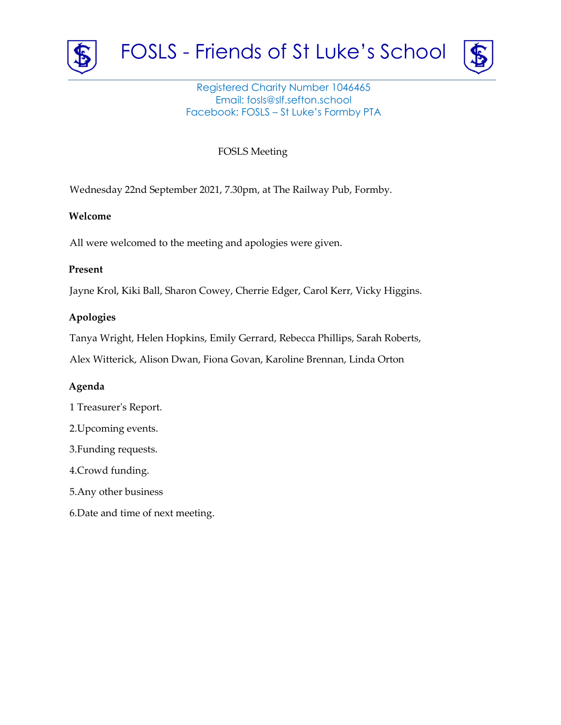



## Registered Charity Number 1046465 Email: fosls@slf.sefton.school Facebook: FOSLS – St Luke's Formby PTA

FOSLS Meeting

Wednesday 22nd September 2021, 7.30pm, at The Railway Pub, Formby.

#### **Welcome**

All were welcomed to the meeting and apologies were given.

#### **Present**

Jayne Krol, Kiki Ball, Sharon Cowey, Cherrie Edger, Carol Kerr, Vicky Higgins.

# **Apologies**

Tanya Wright, Helen Hopkins, Emily Gerrard, Rebecca Phillips, Sarah Roberts,

Alex Witterick, Alison Dwan, Fiona Govan, Karoline Brennan, Linda Orton

## **Agenda**

- 1 Treasurer's Report.
- 2.Upcoming events.
- 3.Funding requests.
- 4.Crowd funding.
- 5.Any other business
- 6.Date and time of next meeting.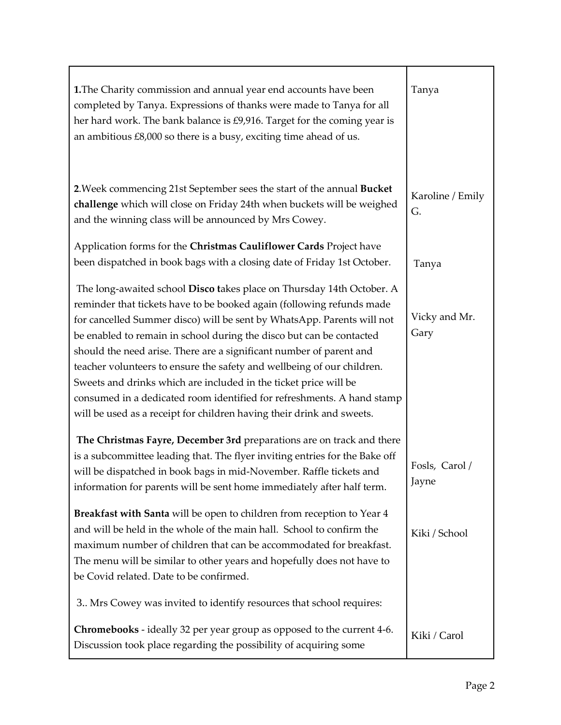| 1. The Charity commission and annual year end accounts have been<br>completed by Tanya. Expressions of thanks were made to Tanya for all<br>her hard work. The bank balance is £9,916. Target for the coming year is<br>an ambitious £8,000 so there is a busy, exciting time ahead of us.                                                                                                                                                                                                                                                                                                                                                                               | Tanya                   |
|--------------------------------------------------------------------------------------------------------------------------------------------------------------------------------------------------------------------------------------------------------------------------------------------------------------------------------------------------------------------------------------------------------------------------------------------------------------------------------------------------------------------------------------------------------------------------------------------------------------------------------------------------------------------------|-------------------------|
| 2. Week commencing 21st September sees the start of the annual Bucket<br>challenge which will close on Friday 24th when buckets will be weighed<br>and the winning class will be announced by Mrs Cowey.                                                                                                                                                                                                                                                                                                                                                                                                                                                                 | Karoline / Emily<br>G.  |
| Application forms for the Christmas Cauliflower Cards Project have<br>been dispatched in book bags with a closing date of Friday 1st October.                                                                                                                                                                                                                                                                                                                                                                                                                                                                                                                            | Tanya                   |
| The long-awaited school Disco takes place on Thursday 14th October. A<br>reminder that tickets have to be booked again (following refunds made<br>for cancelled Summer disco) will be sent by WhatsApp. Parents will not<br>be enabled to remain in school during the disco but can be contacted<br>should the need arise. There are a significant number of parent and<br>teacher volunteers to ensure the safety and wellbeing of our children.<br>Sweets and drinks which are included in the ticket price will be<br>consumed in a dedicated room identified for refreshments. A hand stamp<br>will be used as a receipt for children having their drink and sweets. | Vicky and Mr.<br>Gary   |
| The Christmas Fayre, December 3rd preparations are on track and there<br>is a subcommittee leading that. The flyer inviting entries for the Bake off<br>will be dispatched in book bags in mid-November. Raffle tickets and<br>information for parents will be sent home immediately after half term.                                                                                                                                                                                                                                                                                                                                                                    | Fosls, Carol /<br>Jayne |
| Breakfast with Santa will be open to children from reception to Year 4<br>and will be held in the whole of the main hall. School to confirm the<br>maximum number of children that can be accommodated for breakfast.<br>The menu will be similar to other years and hopefully does not have to<br>be Covid related. Date to be confirmed.                                                                                                                                                                                                                                                                                                                               | Kiki / School           |
| 3. Mrs Cowey was invited to identify resources that school requires:                                                                                                                                                                                                                                                                                                                                                                                                                                                                                                                                                                                                     |                         |
| Chromebooks - ideally 32 per year group as opposed to the current 4-6.<br>Discussion took place regarding the possibility of acquiring some                                                                                                                                                                                                                                                                                                                                                                                                                                                                                                                              | Kiki / Carol            |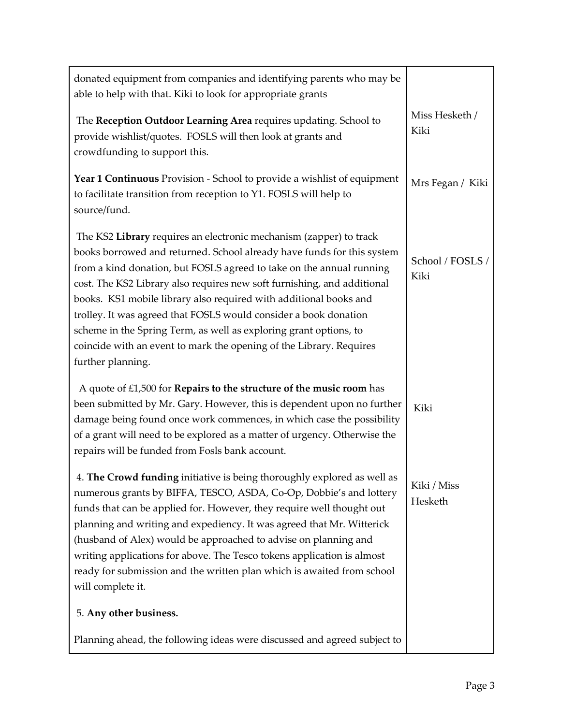| donated equipment from companies and identifying parents who may be<br>able to help with that. Kiki to look for appropriate grants                                                                                                                                                                                                                                                                                                                                                                                                                                                                        |                          |
|-----------------------------------------------------------------------------------------------------------------------------------------------------------------------------------------------------------------------------------------------------------------------------------------------------------------------------------------------------------------------------------------------------------------------------------------------------------------------------------------------------------------------------------------------------------------------------------------------------------|--------------------------|
| The Reception Outdoor Learning Area requires updating. School to<br>provide wishlist/quotes. FOSLS will then look at grants and<br>crowdfunding to support this.                                                                                                                                                                                                                                                                                                                                                                                                                                          | Miss Hesketh /<br>Kiki   |
| Year 1 Continuous Provision - School to provide a wishlist of equipment<br>to facilitate transition from reception to Y1. FOSLS will help to<br>source/fund.                                                                                                                                                                                                                                                                                                                                                                                                                                              | Mrs Fegan / Kiki         |
| The KS2 Library requires an electronic mechanism (zapper) to track<br>books borrowed and returned. School already have funds for this system<br>from a kind donation, but FOSLS agreed to take on the annual running<br>cost. The KS2 Library also requires new soft furnishing, and additional<br>books. KS1 mobile library also required with additional books and<br>trolley. It was agreed that FOSLS would consider a book donation<br>scheme in the Spring Term, as well as exploring grant options, to<br>coincide with an event to mark the opening of the Library. Requires<br>further planning. | School / FOSLS /<br>Kiki |
| A quote of $£1,500$ for <b>Repairs to the structure of the music room</b> has<br>been submitted by Mr. Gary. However, this is dependent upon no further<br>damage being found once work commences, in which case the possibility<br>of a grant will need to be explored as a matter of urgency. Otherwise the<br>repairs will be funded from Fosls bank account.                                                                                                                                                                                                                                          | Kiki                     |
| 4. The Crowd funding initiative is being thoroughly explored as well as<br>numerous grants by BIFFA, TESCO, ASDA, Co-Op, Dobbie's and lottery<br>funds that can be applied for. However, they require well thought out<br>planning and writing and expediency. It was agreed that Mr. Witterick<br>(husband of Alex) would be approached to advise on planning and<br>writing applications for above. The Tesco tokens application is almost<br>ready for submission and the written plan which is awaited from school<br>will complete it.                                                               | Kiki / Miss<br>Hesketh   |
| 5. Any other business.                                                                                                                                                                                                                                                                                                                                                                                                                                                                                                                                                                                    |                          |
| Planning ahead, the following ideas were discussed and agreed subject to                                                                                                                                                                                                                                                                                                                                                                                                                                                                                                                                  |                          |